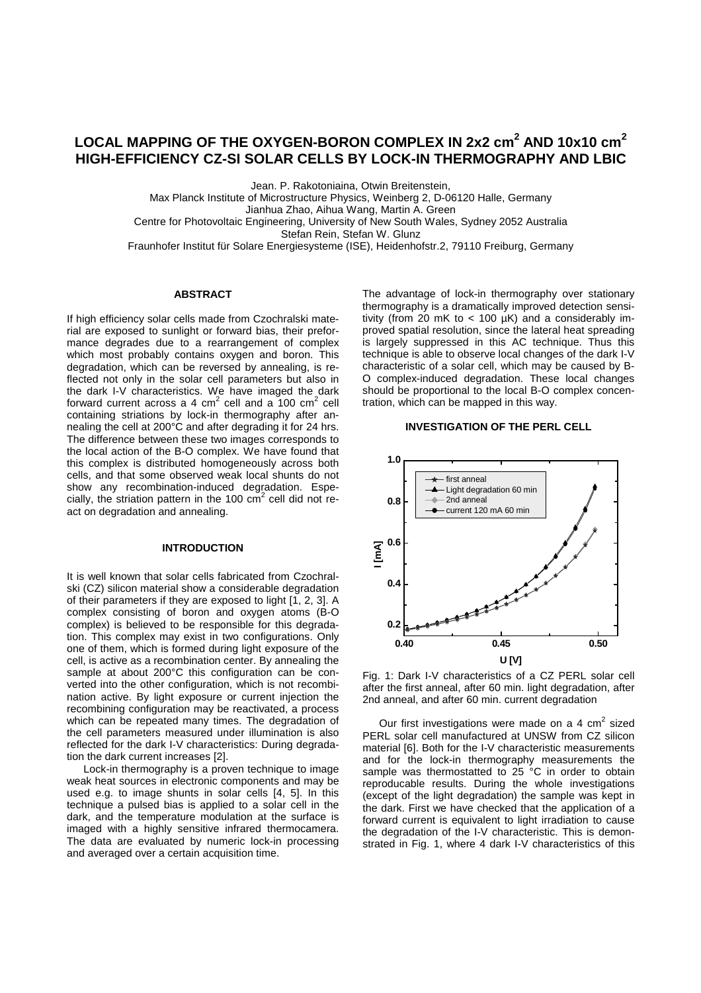# <code>LOCAL</code> MAPPING OF THE OXYGEN-BORON COMPLEX IN 2x2 cm $^2$  AND 10x10 cm $^2$ **HIGH-EFFICIENCY CZ-SI SOLAR CELLS BY LOCK-IN THERMOGRAPHY AND LBIC**

Jean. P. Rakotoniaina, Otwin Breitenstein,

Max Planck Institute of Microstructure Physics, Weinberg 2, D-06120 Halle, Germany

Jianhua Zhao, Aihua Wang, Martin A. Green

Centre for Photovoltaic Engineering, University of New South Wales, Sydney 2052 Australia

Stefan Rein, Stefan W. Glunz

Fraunhofer Institut für Solare Energiesysteme (ISE), Heidenhofstr.2, 79110 Freiburg, Germany

### **ABSTRACT**

If high efficiency solar cells made from Czochralski material are exposed to sunlight or forward bias, their preformance degrades due to a rearrangement of complex which most probably contains oxygen and boron. This degradation, which can be reversed by annealing, is reflected not only in the solar cell parameters but also in the dark I-V characteristics. We have imaged the dark forward current across a 4 cm<sup>2</sup> cell and a 100 cm<sup>2</sup> cell containing striations by lock-in thermography after annealing the cell at 200°C and after degrading it for 24 hrs. The difference between these two images corresponds to the local action of the B-O complex. We have found that this complex is distributed homogeneously across both cells, and that some observed weak local shunts do not show any recombination-induced degradation. Especially, the striation pattern in the 100  $\text{cm}^2$  cell did not react on degradation and annealing.

# **INTRODUCTION**

It is well known that solar cells fabricated from Czochralski (CZ) silicon material show a considerable degradation of their parameters if they are exposed to light [1, 2, 3]. A complex consisting of boron and oxygen atoms (B-O complex) is believed to be responsible for this degradation. This complex may exist in two configurations. Only one of them, which is formed during light exposure of the cell, is active as a recombination center. By annealing the sample at about 200°C this configuration can be converted into the other configuration, which is not recombination active. By light exposure or current injection the recombining configuration may be reactivated, a process which can be repeated many times. The degradation of the cell parameters measured under illumination is also reflected for the dark I-V characteristics: During degradation the dark current increases [2].

Lock-in thermography is a proven technique to image weak heat sources in electronic components and may be used e.g. to image shunts in solar cells [4, 5]. In this technique a pulsed bias is applied to a solar cell in the dark, and the temperature modulation at the surface is imaged with a highly sensitive infrared thermocamera. The data are evaluated by numeric lock-in processing and averaged over a certain acquisition time.

The advantage of lock-in thermography over stationary thermography is a dramatically improved detection sensitivity (from 20 mK to  $<$  100 µK) and a considerably improved spatial resolution, since the lateral heat spreading is largely suppressed in this AC technique. Thus this technique is able to observe local changes of the dark I-V characteristic of a solar cell, which may be caused by B-O complex-induced degradation. These local changes should be proportional to the local B-O complex concentration, which can be mapped in this way.

### **INVESTIGATION OF THE PERL CELL**



Fig. 1: Dark I-V characteristics of a CZ PERL solar cell after the first anneal, after 60 min. light degradation, after 2nd anneal, and after 60 min. current degradation

Our first investigations were made on a 4  $\text{cm}^2$  sized PERL solar cell manufactured at UNSW from CZ silicon material [6]. Both for the I-V characteristic measurements and for the lock-in thermography measurements the sample was thermostatted to 25 °C in order to obtain reproducable results. During the whole investigations (except of the light degradation) the sample was kept in the dark. First we have checked that the application of a forward current is equivalent to light irradiation to cause the degradation of the I-V characteristic. This is demonstrated in Fig. 1, where 4 dark I-V characteristics of this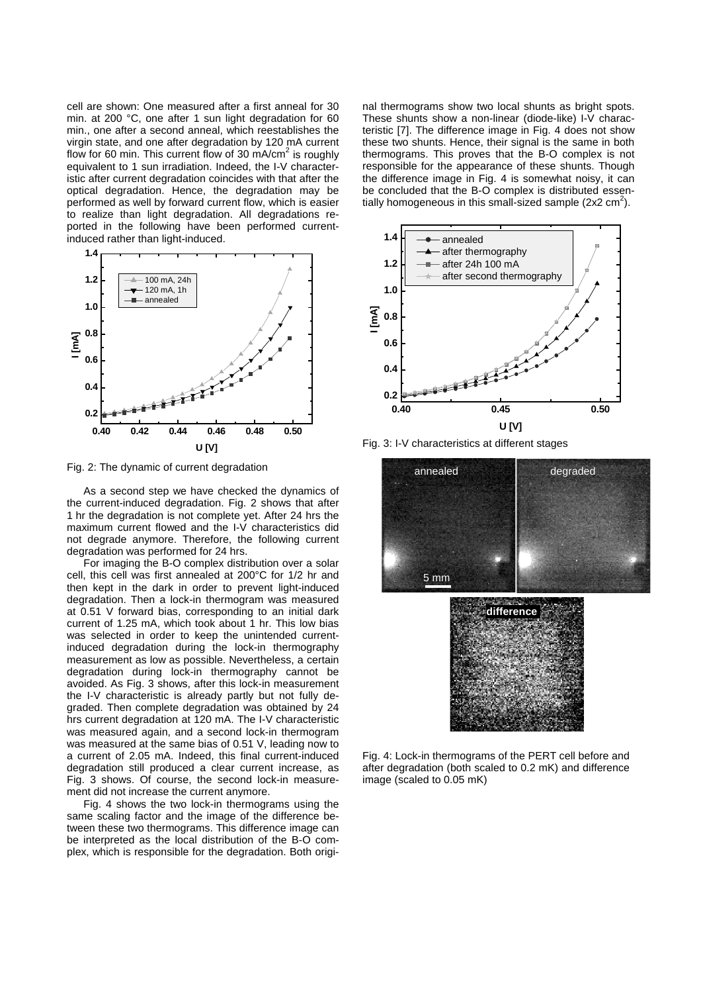cell are shown: One measured after a first anneal for 30 min. at 200 °C, one after 1 sun light degradation for 60 min., one after a second anneal, which reestablishes the virgin state, and one after degradation by 120 mA current flow for 60 min. This current flow of 30 mA/cm<sup>2</sup> is roughly equivalent to 1 sun irradiation. Indeed, the I-V characteristic after current degradation coincides with that after the optical degradation. Hence, the degradation may be performed as well by forward current flow, which is easier to realize than light degradation. All degradations reported in the following have been performed currentinduced rather than light-induced.



Fig. 2: The dynamic of current degradation

As a second step we have checked the dynamics of the current-induced degradation. Fig. 2 shows that after 1 hr the degradation is not complete yet. After 24 hrs the maximum current flowed and the I-V characteristics did not degrade anymore. Therefore, the following current degradation was performed for 24 hrs.

For imaging the B-O complex distribution over a solar cell, this cell was first annealed at 200°C for 1/2 hr and then kept in the dark in order to prevent light-induced degradation. Then a lock-in thermogram was measured at 0.51 V forward bias, corresponding to an initial dark current of 1.25 mA, which took about 1 hr. This low bias was selected in order to keep the unintended currentinduced degradation during the lock-in thermography measurement as low as possible. Nevertheless, a certain degradation during lock-in thermography cannot be avoided. As Fig. 3 shows, after this lock-in measurement the I-V characteristic is already partly but not fully degraded. Then complete degradation was obtained by 24 hrs current degradation at 120 mA. The I-V characteristic was measured again, and a second lock-in thermogram was measured at the same bias of 0.51 V, leading now to a current of 2.05 mA. Indeed, this final current-induced degradation still produced a clear current increase, as Fig. 3 shows. Of course, the second lock-in measurement did not increase the current anymore.

Fig. 4 shows the two lock-in thermograms using the same scaling factor and the image of the difference between these two thermograms. This difference image can be interpreted as the local distribution of the B-O complex, which is responsible for the degradation. Both original thermograms show two local shunts as bright spots. These shunts show a non-linear (diode-like) I-V characteristic [7]. The difference image in Fig. 4 does not show these two shunts. Hence, their signal is the same in both thermograms. This proves that the B-O complex is not responsible for the appearance of these shunts. Though the difference image in Fig. 4 is somewhat noisy, it can be concluded that the B-O complex is distributed essentially homogeneous in this small-sized sample (2x2  $\text{cm}^2$ ).



Fig. 3: I-V characteristics at different stages



Fig. 4: Lock-in thermograms of the PERT cell before and after degradation (both scaled to 0.2 mK) and difference image (scaled to 0.05 mK)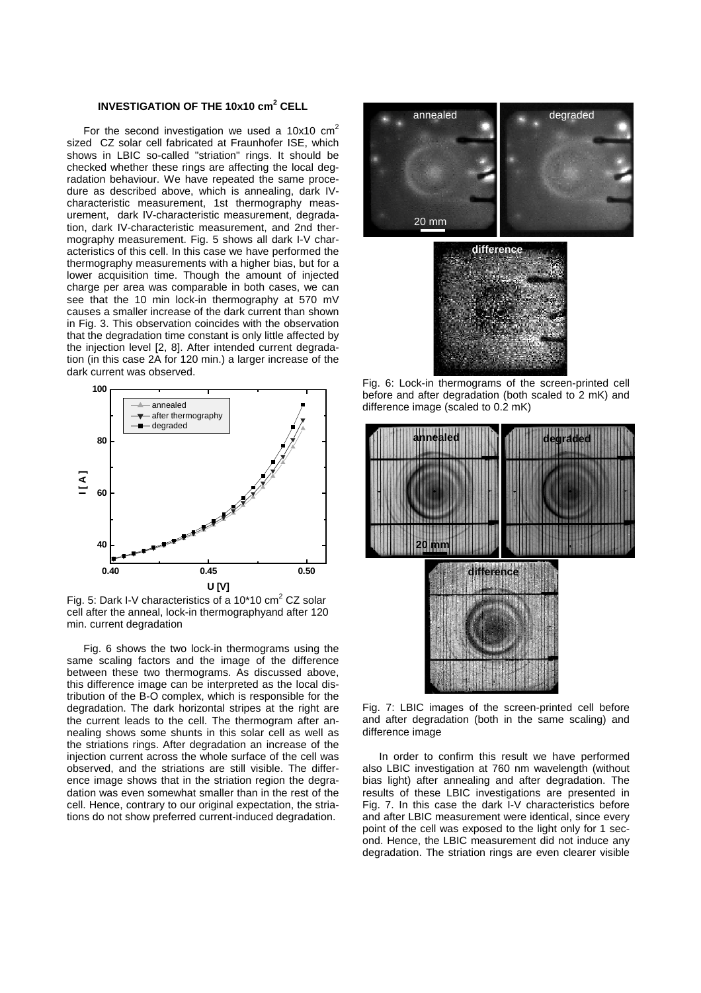# **INVESTIGATION OF THE 10x10 cm<sup>2</sup> CELL**

For the second investigation we used a  $10x10$  cm<sup>2</sup> sized CZ solar cell fabricated at Fraunhofer ISE, which shows in LBIC so-called "striation" rings. It should be checked whether these rings are affecting the local degradation behaviour. We have repeated the same procedure as described above, which is annealing, dark IVcharacteristic measurement, 1st thermography measurement, dark IV-characteristic measurement, degradation, dark IV-characteristic measurement, and 2nd thermography measurement. Fig. 5 shows all dark I-V characteristics of this cell. In this case we have performed the thermography measurements with a higher bias, but for a lower acquisition time. Though the amount of injected charge per area was comparable in both cases, we can see that the 10 min lock-in thermography at 570 mV causes a smaller increase of the dark current than shown in Fig. 3. This observation coincides with the observation that the degradation time constant is only little affected by the injection level [2, 8]. After intended current degradation (in this case 2A for 120 min.) a larger increase of the dark current was observed.



Fig. 5: Dark I-V characteristics of a 10\*10 cm<sup>2</sup> CZ solar cell after the anneal, lock-in thermographyand after 120 min. current degradation

Fig. 6 shows the two lock-in thermograms using the same scaling factors and the image of the difference between these two thermograms. As discussed above, this difference image can be interpreted as the local distribution of the B-O complex, which is responsible for the degradation. The dark horizontal stripes at the right are the current leads to the cell. The thermogram after annealing shows some shunts in this solar cell as well as the striations rings. After degradation an increase of the injection current across the whole surface of the cell was observed, and the striations are still visible. The difference image shows that in the striation region the degradation was even somewhat smaller than in the rest of the cell. Hence, contrary to our original expectation, the striations do not show preferred current-induced degradation.





Fig. 6: Lock-in thermograms of the screen-printed cell before and after degradation (both scaled to 2 mK) and difference image (scaled to 0.2 mK)



Fig. 7: LBIC images of the screen-printed cell before and after degradation (both in the same scaling) and difference image

In order to confirm this result we have performed also LBIC investigation at 760 nm wavelength (without bias light) after annealing and after degradation. The results of these LBIC investigations are presented in Fig. 7. In this case the dark I-V characteristics before and after LBIC measurement were identical, since every point of the cell was exposed to the light only for 1 second. Hence, the LBIC measurement did not induce any degradation. The striation rings are even clearer visible